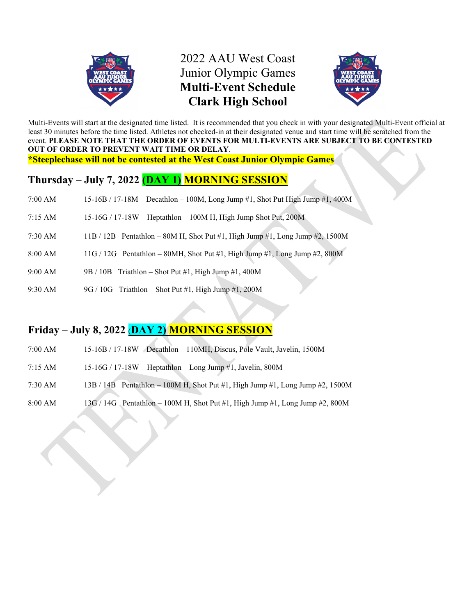

# 2022 AAU West Coast Junior Olympic Games **Multi-Event Schedule Clark High School**



Multi-Events will start at the designated time listed. It is recommended that you check in with your designated Multi-Event official at least 30 minutes before the time listed. Athletes not checked-in at their designated venue and start time will be scratched from the event. **PLEASE NOTE THAT THE ORDER OF EVENTS FOR MULTI-EVENTS ARE SUBJECT TO BE CONTESTED OUT OF ORDER TO PREVENT WAIT TIME OR DELAY**. **\*Steeplechase will not be contested at the West Coast Junior Olympic Games** 

## **Thursday – July 7, 2022 (DAY 1) MORNING SESSION**

- 7:00 AM 15-16B / 17-18M Decathlon 100M, Long Jump #1, Shot Put High Jump #1, 400M
- 7:15 AM 15-16G / 17-18W Heptathlon 100M H, High Jump Shot Put, 200M
- 7:30 AM 11B / 12B Pentathlon 80M H, Shot Put #1, High Jump #1, Long Jump #2, 1500M
- 8:00 AM  $11G / 12G$  Pentathlon 80MH, Shot Put #1, High Jump #1, Long Jump #2, 800M
- 9:00 AM 9B / 10B Triathlon Shot Put #1, High Jump #1, 400M
- 9:30 AM 9G / 10G Triathlon Shot Put #1, High Jump #1, 200M

# **Friday – July 8, 2022** (**DAY 2) MORNING SESSION**

- 7:00 AM 15-16B / 17-18W Decathlon 110MH, Discus, Pole Vault, Javelin, 1500M
- 7:15 AM 15-16G / 17-18W Heptathlon Long Jump #1, Javelin, 800M
- 7:30 AM 13B / 14B Pentathlon 100M H, Shot Put #1, High Jump #1, Long Jump #2, 1500M
- 8:00 AM  $13G / 14G$  Pentathlon 100M H, Shot Put #1, High Jump #1, Long Jump #2, 800M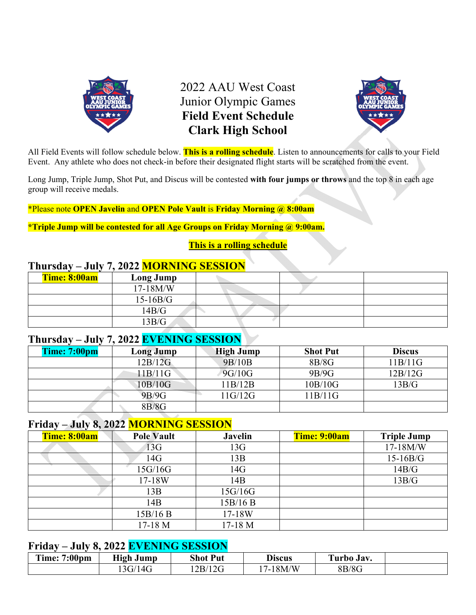

2022 AAU West Coast Junior Olympic Games **Field Event Schedule Clark High School** 



All Field Events will follow schedule below. **This is a rolling schedule**. Listen to announcements for calls to your Field Event. Any athlete who does not check-in before their designated flight starts will be scratched from the event.

Long Jump, Triple Jump, Shot Put, and Discus will be contested **with four jumps or throws** and the top 8 in each age group will receive medals.

\*Please note **OPEN Javelin** and **OPEN Pole Vault** is **Friday Morning @ 8:00am**

**\*Triple Jump will be contested for all Age Groups on Friday Morning @ 9:00am.** 

### **This is a rolling schedule**

## **Thursday – July 7, 2022 MORNING SESSION**

| Time: 8:00am | Long Jump   |  |  |
|--------------|-------------|--|--|
|              | $17-18$ M/W |  |  |
|              | $15-16B/G$  |  |  |
|              | 14B/G       |  |  |
|              | 13B/G       |  |  |

# **Thursday – July 7, 2022 EVENING SESSION**

| <b>Time: 7:00pm</b> | Long Jump | <b>High Jump</b> | <b>Shot Put</b> | <b>Discus</b> |
|---------------------|-----------|------------------|-----------------|---------------|
|                     | 12B/12G   | 9B/10B           | 8B/8G           | 11B/11G       |
|                     | 11B/11G   | 9G/10G           | 9B/9G           | 12B/12G       |
|                     | 10B/10G   | 11B/12B          | 10B/10G         | 13B/G         |
|                     | 9B/9G     | 11G/12G          | 11B/11G         |               |
|                     | 8B/8G     |                  |                 |               |

## **Friday – July 8, 2022 MORNING SESSION**

| Time: 8:00am | <b>Pole Vault</b> | <b>Javelin</b> | Time: 9:00am | <b>Triple Jump</b> |
|--------------|-------------------|----------------|--------------|--------------------|
|              | 13G               | 13G            |              | 17-18M/W           |
|              | 14G               | 13B            |              | $15-16B/G$         |
|              | 15G/16G           | 14G            |              | 14B/G              |
|              | 17-18W            | 14B            |              | 13B/G              |
|              | 13B               | 15G/16G        |              |                    |
|              | 14B               | 15B/16B        |              |                    |
|              | 15B/16B           | 17-18W         |              |                    |
|              | 17-18 M           | 17-18 M        |              |                    |

# **Friday – July 8, 2022 EVENING SESSION**

| $7:00 \text{pm}$<br>$\blacksquare$<br>$\mathbf{Im}$ e: 7 | <b>High Jump</b> | <b>Shot Put</b> | <b>Discus</b>                           | $\sqrt{2}$<br>Uurbo Jav. |  |
|----------------------------------------------------------|------------------|-----------------|-----------------------------------------|--------------------------|--|
|                                                          | 13G/14G          | 2B/12G          | 4/N<br>18M<br>$\overline{ }$<br>$1 - 1$ | 8B/8G                    |  |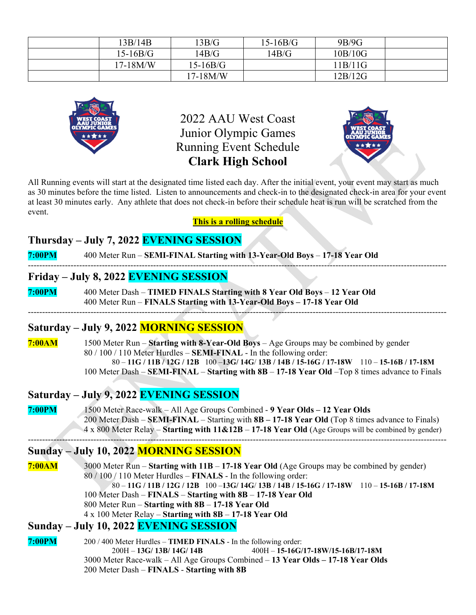| 13B/14B    | 13B/G      | $15-16B/G$ | 9B/9G   |  |
|------------|------------|------------|---------|--|
| $15-16B/G$ | 14B/G      | 14B/G      | 10B/10G |  |
| 17-18M/W   | $15-16B/G$ |            | 11B/11G |  |
|            | $17-18M/W$ |            | 12B/12G |  |



2022 AAU West Coast Junior Olympic Games Running Event Schedule **Clark High School** 



All Running events will start at the designated time listed each day. After the initial event, your event may start as much as 30 minutes before the time listed. Listen to announcements and check-in to the designated check-in area for your event at least 30 minutes early. Any athlete that does not check-in before their schedule heat is run will be scratched from the event.

**This is a rolling schedule** 

## **Thursday – July 7, 2022 EVENING SESSION**

**7:00PM** 400 Meter Run – **SEMI-FINAL Starting with 13-Year-Old Boys** – **17-18 Year Old** ---------------------------------------------------------------------------------------------------------------------------------------------------

#### **Friday – July 8, 2022 EVENING SESSION**

**7:00PM** 400 Meter Dash – **TIMED FINALS Starting with 8 Year Old Boys** – **12 Year Old**  400 Meter Run – **FINALS Starting with 13-Year-Old Boys – 17-18 Year Old** 

### **Saturday – July 9, 2022 MORNING SESSION**

**7:00AM** 1500 Meter Run – **Starting with 8-Year-Old Boys** – Age Groups may be combined by gender 80 / 100 / 110 Meter Hurdles – **SEMI-FINAL** - In the following order: 80 – **11G / 11B / 12G / 12B** 100 –**13G/ 14G**/ **13B / 14B / 15-16G / 17-18W** 110 – **15-16B / 17-18M** 100 Meter Dash – **SEMI-FINAL** – **Starting with 8B** – **17-18 Year Old** –Top 8 times advance to Finals

---------------------------------------------------------------------------------------------------------------------------------------------------

### **Saturday – July 9, 2022 EVENING SESSION**

**7:00PM** 1500 Meter Race-walk – All Age Groups Combined - **9 Year Olds – 12 Year Olds** 200 Meter Dash – **SEMI-FINAL** – Starting with **8B – 17-18 Year Old** (Top 8 times advance to Finals) 4 x 800 Meter Relay – **Starting with 11&12B** – **17-18 Year Old** (Age Groups will be combined by gender) ---------------------------------------------------------------------------------------------------------------------------------------------------

### **Sunday – July 10, 2022 MORNING SESSION**

**7:00AM** 3000 Meter Run – **Starting with 11B** – **17-18 Year Old** (Age Groups may be combined by gender) 80 / 100 / 110 Meter Hurdles – **FINALS** - In the following order: 80 – **11G / 11B / 12G / 12B** 100 –**13G/ 14G**/ **13B / 14B / 15-16G / 17-18W** 110 – **15-16B / 17-18M** 100 Meter Dash – **FINALS** – **Starting with 8B** – **17-18 Year Old** 800 Meter Run – **Starting with 8B** – **17-18 Year Old** 4 x 100 Meter Relay – **Starting with 8B** – **17-18 Year Old**

### **Sunday – July 10, 2022 EVENING SESSION**

**7:00PM** 200 / 400 Meter Hurdles – **TIMED FINALS** - In the following order: 200H – **13G/ 13B/ 14G/ 14B** 400H – **15-16G/17-18W/15-16B/17-18M** 3000 Meter Race-walk – All Age Groups Combined – **13 Year Olds – 17-18 Year Olds** 200 Meter Dash – **FINALS** - **Starting with 8B**